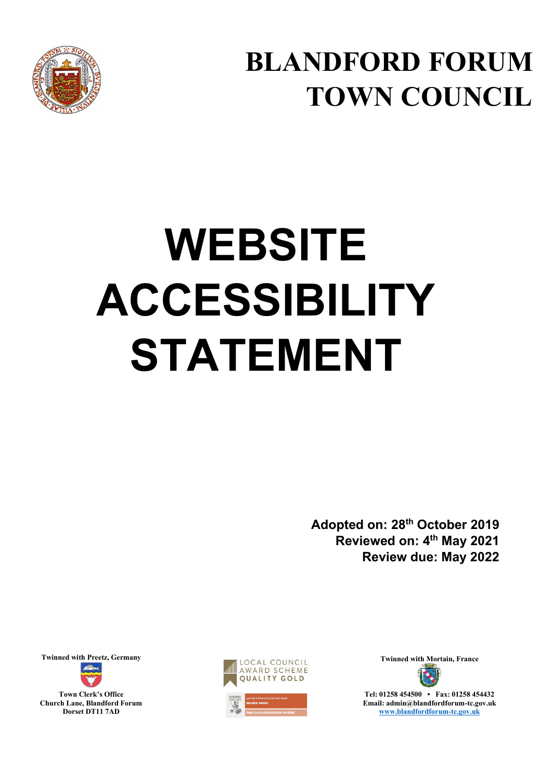

**BLANDFORD FORUM TOWN COUNCIL**

# **WEBSITE ACCESSIBILITY STATEMENT**

**Adopted on: 28th October 2019 Reviewed on: 4th May 2021 Review due: May 2022** 

**Town Clerk's Office Church Lane, Blandford Forum Dorset DT11 7AD** 





**Email: admin@blandfordforum-tc.gov.uk [www.blandfordforum-tc.gov.uk](http://www.blandfordforum-tc.gov.uk/)**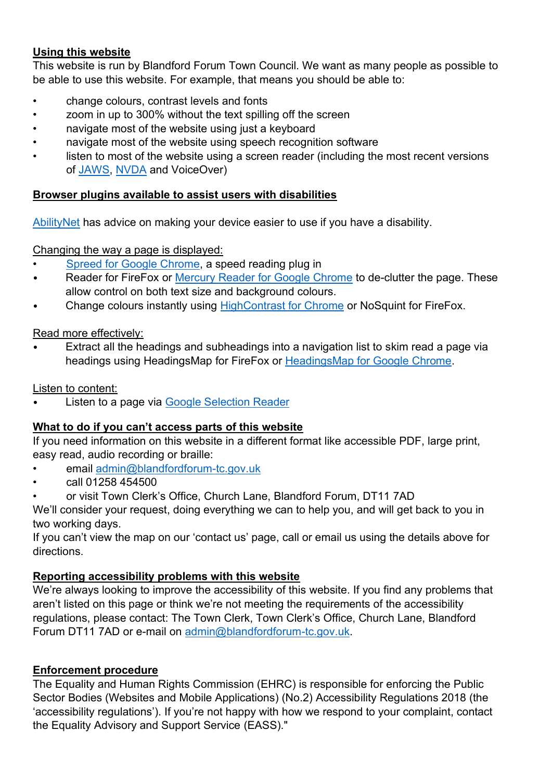# **Using this website**

This website is run by Blandford Forum Town Council. We want as many people as possible to be able to use this website. For example, that means you should be able to:

- change colours, contrast levels and fonts
- zoom in up to 300% without the text spilling off the screen
- navigate most of the website using just a keyboard
- navigate most of the website using speech recognition software
- listen to most of the website using a screen reader (including the most recent versions of [JAWS,](https://www.freedomscientific.com/products/software/jaws/) [NVDA](https://www.nvaccess.org/about-nvda/) and VoiceOver)

## **Browser plugins available to assist users with disabilities**

[AbilityNet](https://abilitynet.org.uk/) has advice on making your device easier to use if you have a disability.

## Changing the way a page is displayed:

- [Spreed for Google Chrome,](https://chrome.google.com/webstore/detail/spreed-speed-read-the-web/ipikiaejjblmdopojhpejjmbedhlibno) a speed reading plug in
- Reader for FireFox or [Mercury Reader for Google Chrome](https://chrome.google.com/webstore/detail/mercury-reader/oknpjjbmpnndlpmnhmekjpocelpnlfdi?hl=en) to de-clutter the page. These allow control on both text size and background colours.
- Change colours instantly using [HighContrast for Chrome](https://chrome.google.com/webstore/detail/high-contrast/djcfdncoelnlbldjfhinnjlhdjlikmph?hl=en) or NoSquint for FireFox.

## Read more effectively:

• Extract all the headings and subheadings into a navigation list to skim read a page via headings using HeadingsMap for FireFox or [HeadingsMap for Google Chrome.](https://chrome.google.com/webstore/detail/headingsmap/flbjommegcjonpdmenkdiocclhjacmbi?hl=en)

Listen to content:

Listen to a page via [Google Selection Reader](https://chrome.google.com/webstore/detail/selection-reader/eojegnppbmmnknbmnjgifjjehjlmdcoe?hl=en)

# **What to do if you can't access parts of this website**

If you need information on this website in a different format like accessible PDF, large print, easy read, audio recording or braille:

- email [admin@blandfordforum-tc.gov.uk](mailto:admin@blandfordforum-tc.gov.uk)
- call 01258 454500
- or visit Town Clerk's Office, Church Lane, Blandford Forum, DT11 7AD

We'll consider your request, doing everything we can to help you, and will get back to you in two working days.

If you can't view the map on our 'contact us' page, call or email us using the details above for directions.

# **Reporting accessibility problems with this website**

We're always looking to improve the accessibility of this website. If you find any problems that aren't listed on this page or think we're not meeting the requirements of the accessibility regulations, please contact: The Town Clerk, Town Clerk's Office, Church Lane, Blandford Forum DT11 7AD or e-mail on [admin@blandfordforum-tc.gov.uk.](mailto:admin@blandfordforum-tc.gov.uk)

# **Enforcement procedure**

The Equality and Human Rights Commission (EHRC) is responsible for enforcing the Public Sector Bodies (Websites and Mobile Applications) (No.2) Accessibility Regulations 2018 (the 'accessibility regulations'). If you're not happy with how we respond to your complaint, contact the [Equality Advisory and Support Service](https://www.equalityadvisoryservice.com/) (EASS)."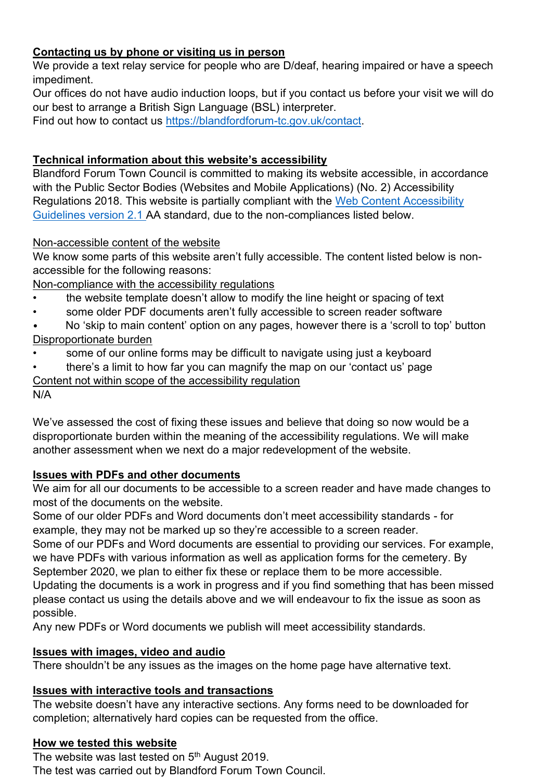# **Contacting us by phone or visiting us in person**

We provide a text relay service for people who are D/deaf, hearing impaired or have a speech impediment.

Our offices do not have audio induction loops, but if you contact us before your visit we will do our best to arrange a British Sign Language (BSL) interpreter.

Find out how to contact us [https://blandfordforum-tc.gov.uk/contact.](https://blandfordforum-tc.gov.uk/contact)

### **Technical information about this website's accessibility**

Blandford Forum Town Council is committed to making its website accessible, in accordance with the Public Sector Bodies (Websites and Mobile Applications) (No. 2) Accessibility Regulations 2018. This website is partially compliant with the [Web Content Accessibility](https://www.w3.org/TR/WCAG21/)  [Guidelines version 2.1 A](https://www.w3.org/TR/WCAG21/)A standard, due to the non-compliances listed below.

### Non-accessible content of the website

We know some parts of this website aren't fully accessible. The content listed below is nonaccessible for the following reasons:

Non-compliance with the accessibility regulations

- the website template doesn't allow to modify the line height or spacing of text
- some older PDF documents aren't fully accessible to screen reader software
- No 'skip to main content' option on any pages, however there is a 'scroll to top' button Disproportionate burden
- some of our online forms may be difficult to navigate using just a keyboard
- there's a limit to how far you can magnify the map on our 'contact us' page

Content not within scope of the accessibility regulation

#### N/A

We've assessed the cost of fixing these issues and believe that doing so now would be a disproportionate burden within the meaning of the accessibility regulations. We will make another assessment when we next do a major redevelopment of the website.

#### **Issues with PDFs and other documents**

We aim for all our documents to be accessible to a screen reader and have made changes to most of the documents on the website.

Some of our older PDFs and Word documents don't meet accessibility standards - for example, they may not be marked up so they're accessible to a screen reader.

Some of our PDFs and Word documents are essential to providing our services. For example, we have PDFs with various information as well as application forms for the cemetery. By September 2020, we plan to either fix these or replace them to be more accessible. Updating the documents is a work in progress and if you find something that has been missed please contact us using the details above and we will endeavour to fix the issue as soon as

possible.

Any new PDFs or Word documents we publish will meet accessibility standards.

#### **Issues with images, video and audio**

There shouldn't be any issues as the images on the home page have alternative text.

#### **Issues with interactive tools and transactions**

The website doesn't have any interactive sections. Any forms need to be downloaded for completion; alternatively hard copies can be requested from the office.

#### **How we tested this website**

The website was last tested on 5<sup>th</sup> August 2019. The test was carried out by Blandford Forum Town Council.